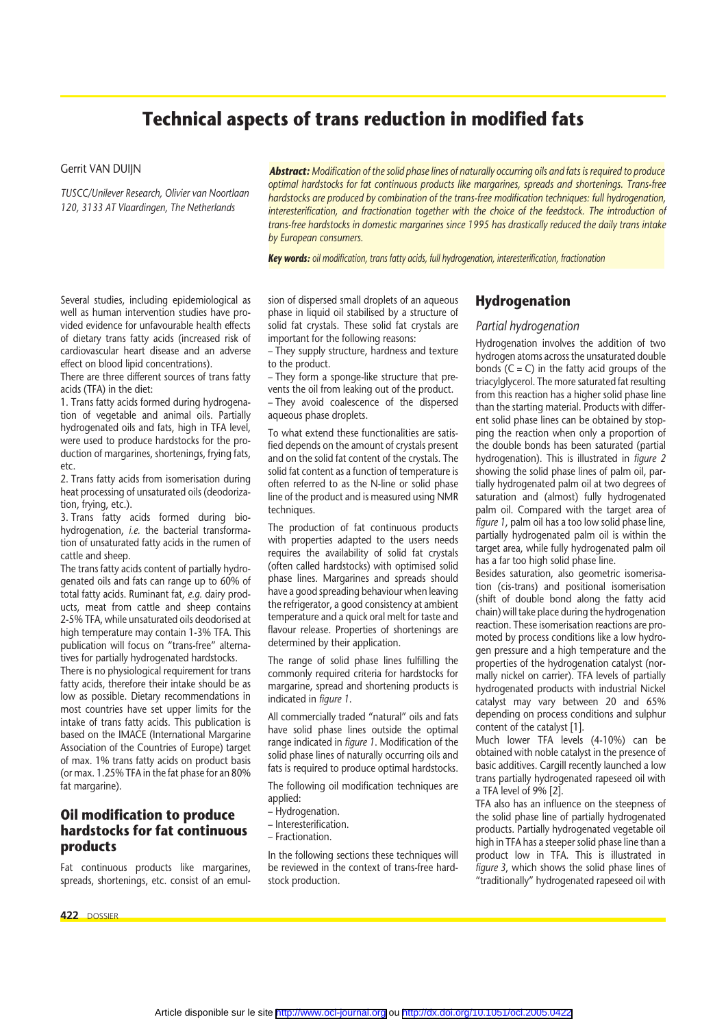# **Technical aspects of trans reduction in modified fats**

#### Gerrit VAN DUIJN

*TUSCC/Unilever Research, Olivier van Noortlaan 120, 3133 AT Vlaardingen, The Netherlands*

*Abstract: Modification of the solid phase lines of naturally occurring oils and fats is required to produce optimal hardstocks for fat continuous products like margarines, spreads and shortenings. Trans-free hardstocks are produced by combination of the trans-free modification techniques: full hydrogenation, interesterification, and fractionation together with the choice of the feedstock. The introduction of trans-free hardstocks in domestic margarines since 1995 has drastically reduced the daily trans intake by European consumers.*

*Key words: oil modification, trans fatty acids, full hydrogenation, interesterification, fractionation*

Several studies, including epidemiological as well as human intervention studies have provided evidence for unfavourable health effects of dietary trans fatty acids (increased risk of cardiovascular heart disease and an adverse effect on blood lipid concentrations).

There are three different sources of trans fatty acids (TFA) in the diet:

1. Trans fatty acids formed during hydrogenation of vegetable and animal oils. Partially hydrogenated oils and fats, high in TFA level, were used to produce hardstocks for the production of margarines, shortenings, frying fats, etc.

2. Trans fatty acids from isomerisation during heat processing of unsaturated oils (deodorization, frying, etc.).

3. Trans fatty acids formed during biohydrogenation, *i.e.* the bacterial transformation of unsaturated fatty acids in the rumen of cattle and sheep.

The trans fatty acids content of partially hydrogenated oils and fats can range up to 60% of total fatty acids. Ruminant fat, *e.g.* dairy products, meat from cattle and sheep contains 2-5% TFA, while unsaturated oils deodorised at high temperature may contain 1-3% TFA. This publication will focus on "trans-free" alternatives for partially hydrogenated hardstocks.

There is no physiological requirement for trans fatty acids, therefore their intake should be as low as possible. Dietary recommendations in most countries have set upper limits for the intake of trans fatty acids. This publication is based on the IMACE (International Margarine Association of the Countries of Europe) target of max. 1% trans fatty acids on product basis (or max. 1.25% TFA in the fat phase for an 80% fat margarine).

## **Oil modification to produce hardstocks for fat continuous products**

Fat continuous products like margarines, spreads, shortenings, etc. consist of an emulsion of dispersed small droplets of an aqueous phase in liquid oil stabilised by a structure of solid fat crystals. These solid fat crystals are important for the following reasons:

– They supply structure, hardness and texture to the product.

– They form a sponge-like structure that prevents the oil from leaking out of the product. – They avoid coalescence of the dispersed

aqueous phase droplets.

To what extend these functionalities are satisfied depends on the amount of crystals present and on the solid fat content of the crystals. The solid fat content as a function of temperature is often referred to as the N-line or solid phase line of the product and is measured using NMR techniques.

The production of fat continuous products with properties adapted to the users needs requires the availability of solid fat crystals (often called hardstocks) with optimised solid phase lines. Margarines and spreads should have a good spreading behaviour when leaving the refrigerator, a good consistency at ambient temperature and a quick oral melt for taste and flavour release. Properties of shortenings are determined by their application.

The range of solid phase lines fulfilling the commonly required criteria for hardstocks for margarine, spread and shortening products is indicated in *figure 1*.

All commercially traded "natural" oils and fats have solid phase lines outside the optimal range indicated in *figure 1*. Modification of the solid phase lines of naturally occurring oils and fats is required to produce optimal hardstocks.

The following oil modification techniques are applied:

- Hydrogenation.
- Interesterification.
- Fractionation.

In the following sections these techniques will be reviewed in the context of trans-free hardstock production.

# **Hydrogenation**

### *Partial hydrogenation*

Hydrogenation involves the addition of two hydrogen atoms across the unsaturated double bonds  $(C = C)$  in the fatty acid groups of the triacylglycerol. The more saturated fat resulting from this reaction has a higher solid phase line than the starting material. Products with different solid phase lines can be obtained by stopping the reaction when only a proportion of the double bonds has been saturated (partial hydrogenation). This is illustrated in *figure 2* showing the solid phase lines of palm oil, partially hydrogenated palm oil at two degrees of saturation and (almost) fully hydrogenated palm oil. Compared with the target area of *figure 1*, palm oil has a too low solid phase line, partially hydrogenated palm oil is within the target area, while fully hydrogenated palm oil has a far too high solid phase line.

Besides saturation, also geometric isomerisation (cis-trans) and positional isomerisation (shift of double bond along the fatty acid chain) will take place during the hydrogenation reaction. These isomerisation reactions are promoted by process conditions like a low hydrogen pressure and a high temperature and the properties of the hydrogenation catalyst (normally nickel on carrier). TFA levels of partially hydrogenated products with industrial Nickel catalyst may vary between 20 and 65% depending on process conditions and sulphur content of the catalyst [1].

Much lower TFA levels (4-10%) can be obtained with noble catalyst in the presence of basic additives. Cargill recently launched a low trans partially hydrogenated rapeseed oil with a TFA level of 9% [2].

TFA also has an influence on the steepness of the solid phase line of partially hydrogenated products. Partially hydrogenated vegetable oil high in TFA has a steeper solid phase line than a product low in TFA. This is illustrated in *figure 3*, which shows the solid phase lines of "traditionally" hydrogenated rapeseed oil with

**422** DOSSIER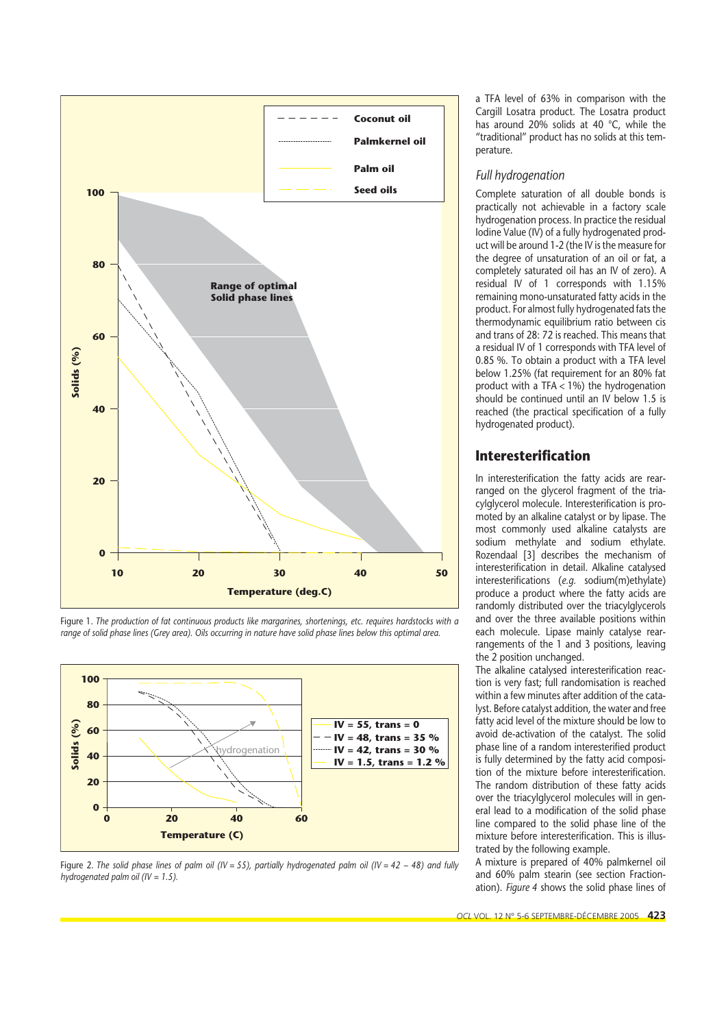





Figure 2. *The solid phase lines of palm oil (IV = 55), partially hydrogenated palm oil (IV = 42 – 48) and fully hydrogenated palm oil (IV = 1.5).*

a TFA level of 63% in comparison with the Cargill Losatra product. The Losatra product has around 20% solids at 40 °C, while the "traditional" product has no solids at this temperature.

#### *Full hydrogenation*

Complete saturation of all double bonds is practically not achievable in a factory scale hydrogenation process. In practice the residual Iodine Value (IV) of a fully hydrogenated product will be around 1-2 (the IV is the measure for the degree of unsaturation of an oil or fat, a completely saturated oil has an IV of zero). A residual IV of 1 corresponds with 1.15% remaining mono-unsaturated fatty acids in the product. For almost fully hydrogenated fats the thermodynamic equilibrium ratio between cis and trans of 28: 72 is reached. This means that a residual IV of 1 corresponds with TFA level of 0.85 %. To obtain a product with a TFA level below 1.25% (fat requirement for an 80% fat product with a TFA < 1%) the hydrogenation should be continued until an IV below 1.5 is reached (the practical specification of a fully hydrogenated product).

## **Interesterification**

In interesterification the fatty acids are rearranged on the glycerol fragment of the triacylglycerol molecule. Interesterification is promoted by an alkaline catalyst or by lipase. The most commonly used alkaline catalysts are sodium methylate and sodium ethylate. Rozendaal [3] describes the mechanism of interesterification in detail. Alkaline catalysed interesterifications (*e.g.* sodium(m)ethylate) produce a product where the fatty acids are randomly distributed over the triacylglycerols and over the three available positions within each molecule. Lipase mainly catalyse rearrangements of the 1 and 3 positions, leaving the 2 position unchanged.

The alkaline catalysed interesterification reaction is very fast; full randomisation is reached within a few minutes after addition of the catalyst. Before catalyst addition, the water and free fatty acid level of the mixture should be low to avoid de-activation of the catalyst. The solid phase line of a random interesterified product is fully determined by the fatty acid composition of the mixture before interesterification. The random distribution of these fatty acids over the triacylglycerol molecules will in general lead to a modification of the solid phase line compared to the solid phase line of the mixture before interesterification. This is illustrated by the following example.

A mixture is prepared of 40% palmkernel oil and 60% palm stearin (see section Fractionation). *Figure 4* shows the solid phase lines of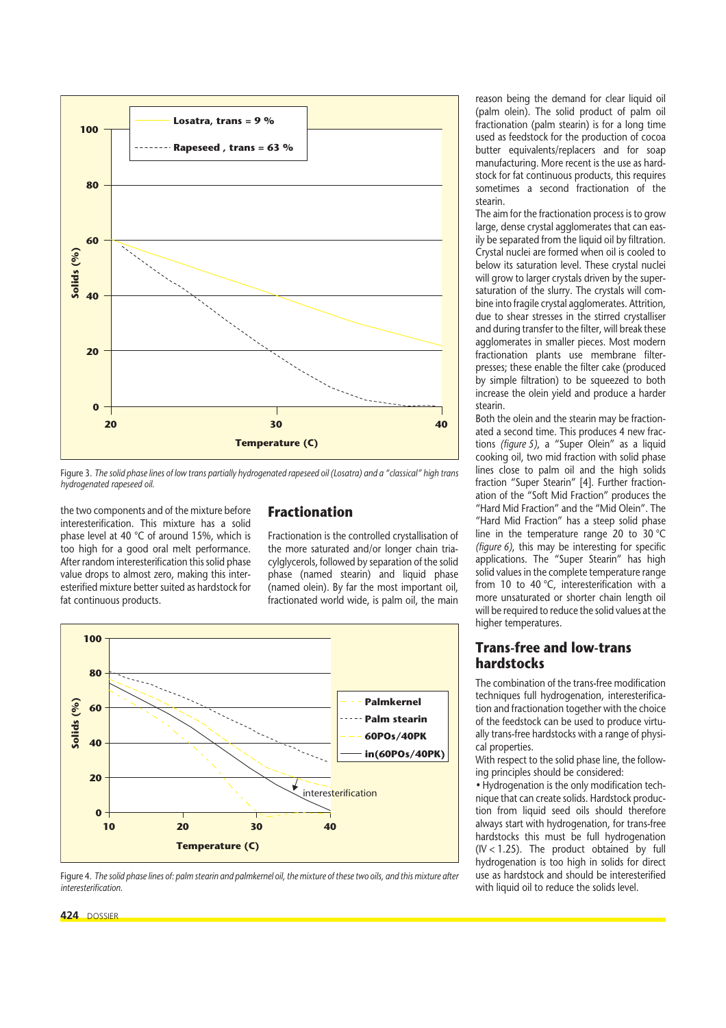

Figure 3. *The solid phase lines of low trans partially hydrogenated rapeseed oil (Losatra) and a "classical" high trans hydrogenated rapeseed oil.*

the two components and of the mixture before interesterification. This mixture has a solid phase level at 40 °C of around 15%, which is too high for a good oral melt performance. After random interesterification this solid phase value drops to almost zero, making this interesterified mixture better suited as hardstock for fat continuous products.

## **Fractionation**

Fractionation is the controlled crystallisation of the more saturated and/or longer chain triacylglycerols, followed by separation of the solid phase (named stearin) and liquid phase (named olein). By far the most important oil, fractionated world wide, is palm oil, the main



Figure 4. *The solid phase lines of: palm stearin and palmkernel oil, the mixture of these two oils, and this mixture after interesterification.*

reason being the demand for clear liquid oil (palm olein). The solid product of palm oil fractionation (palm stearin) is for a long time used as feedstock for the production of cocoa butter equivalents/replacers and for soap manufacturing. More recent is the use as hardstock for fat continuous products, this requires sometimes a second fractionation of the stearin.

The aim for the fractionation process is to grow large, dense crystal agglomerates that can easily be separated from the liquid oil by filtration. Crystal nuclei are formed when oil is cooled to below its saturation level. These crystal nuclei will grow to larger crystals driven by the supersaturation of the slurry. The crystals will combine into fragile crystal agglomerates. Attrition, due to shear stresses in the stirred crystalliser and during transfer to the filter, will break these agglomerates in smaller pieces. Most modern fractionation plants use membrane filterpresses; these enable the filter cake (produced by simple filtration) to be squeezed to both increase the olein yield and produce a harder stearin.

Both the olein and the stearin may be fractionated a second time. This produces 4 new fractions *(figure 5)*, a "Super Olein" as a liquid cooking oil, two mid fraction with solid phase lines close to palm oil and the high solids fraction "Super Stearin" [4]. Further fractionation of the "Soft Mid Fraction" produces the "Hard Mid Fraction" and the "Mid Olein". The "Hard Mid Fraction" has a steep solid phase line in the temperature range 20 to 30 °C *(figure 6)*, this may be interesting for specific applications. The "Super Stearin" has high solid values in the complete temperature range from 10 to 40 °C, interesterification with a more unsaturated or shorter chain length oil will be required to reduce the solid values at the higher temperatures.

## **Trans-free and low-trans hardstocks**

The combination of the trans-free modification techniques full hydrogenation, interesterification and fractionation together with the choice of the feedstock can be used to produce virtually trans-free hardstocks with a range of physical properties.

With respect to the solid phase line, the following principles should be considered:

• Hydrogenation is the only modification technique that can create solids. Hardstock production from liquid seed oils should therefore always start with hydrogenation, for trans-free hardstocks this must be full hydrogenation  $(IV < 1.25)$ . The product obtained by full hydrogenation is too high in solids for direct use as hardstock and should be interesterified with liquid oil to reduce the solids level.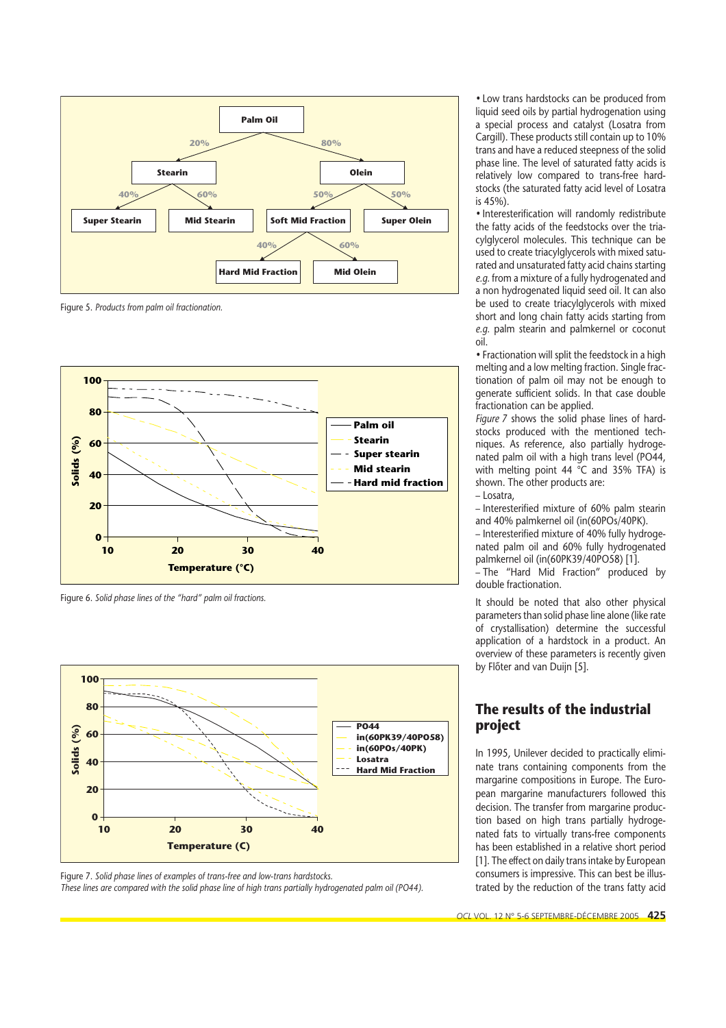

Figure 5. *Products from palm oil fractionation.*



Figure 6. *Solid phase lines of the "hard" palm oil fractions.*



Figure 7. *Solid phase lines of examples of trans-free and low-trans hardstocks. These lines are compared with the solid phase line of high trans partially hydrogenated palm oil (PO44).* • Low trans hardstocks can be produced from liquid seed oils by partial hydrogenation using a special process and catalyst (Losatra from Cargill). These products still contain up to 10% trans and have a reduced steepness of the solid phase line. The level of saturated fatty acids is relatively low compared to trans-free hardstocks (the saturated fatty acid level of Losatra is 45%).

• Interesterification will randomly redistribute the fatty acids of the feedstocks over the triacylglycerol molecules. This technique can be used to create triacylglycerols with mixed saturated and unsaturated fatty acid chains starting *e.g.* from a mixture of a fully hydrogenated and a non hydrogenated liquid seed oil. It can also be used to create triacylglycerols with mixed short and long chain fatty acids starting from *e.g.* palm stearin and palmkernel or coconut oil.

• Fractionation will split the feedstock in a high melting and a low melting fraction. Single fractionation of palm oil may not be enough to generate sufficient solids. In that case double fractionation can be applied.

*Figure 7* shows the solid phase lines of hardstocks produced with the mentioned techniques. As reference, also partially hydrogenated palm oil with a high trans level (PO44, with melting point 44  $^{\circ}$ C and 35% TFA) is shown. The other products are:

– Losatra,

– Interesterified mixture of 60% palm stearin and 40% palmkernel oil (in(60POs/40PK).

– Interesterified mixture of 40% fully hydrogenated palm oil and 60% fully hydrogenated palmkernel oil (in(60PK39/40PO58) [1].

– The "Hard Mid Fraction" produced by double fractionation.

It should be noted that also other physical parameters than solid phase line alone (like rate of crystallisation) determine the successful application of a hardstock in a product. An overview of these parameters is recently given by Flőter and van Duijn [5].

# **The results of the industrial project**

In 1995, Unilever decided to practically eliminate trans containing components from the margarine compositions in Europe. The European margarine manufacturers followed this decision. The transfer from margarine production based on high trans partially hydrogenated fats to virtually trans-free components has been established in a relative short period [1]. The effect on daily trans intake by European consumers is impressive. This can best be illustrated by the reduction of the trans fatty acid

*OCL* VOL. 12 N° 5-6 SEPTEMBRE-DE´CEMBRE 2005 **425**